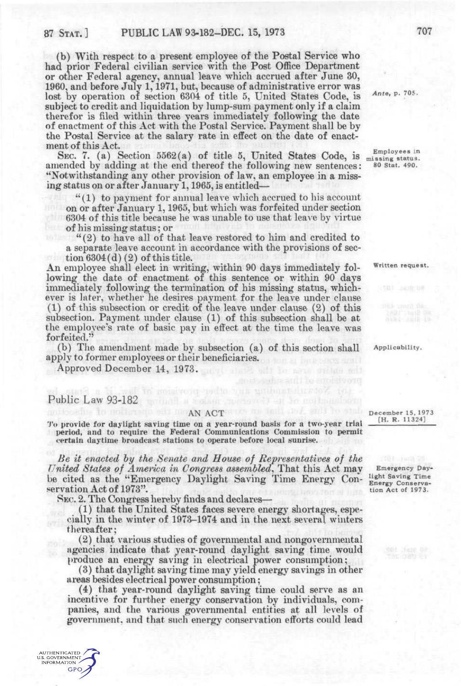(b) With respect to a present employee of the Postal Service who had prior Federal civilian service with the Post Office Department or other Federal agency, annual leave which accrued after June 30, 1960, and before July 1,1971, but, because of administrative error was lost by operation of section 6304 of title 5, United States Code, is Ante, p. 705. subject to credit and liquidation by lump-sum payment only if a claim therefor is filed within three years immediately following the date of enactment of this Act with the Postal Service. Payment shall be by the Postal Service at the salary rate in effect on the date of enactment of this Act.

SEC. 7. (a) Section 5562(a) of title 5, United States Code, is  $\frac{\text{Employee s}}{\text{misusing}}$  status. amended by adding at the end thereof the following new sentences: "Notwithstanding any other provision of law, an employee in a missing status on or after January 1,1965, is entitled—

 $''(1)$  to payment for annual leave which accrued to his account on or after January 1,1965, but which was forfeited under section 6304 of this title because he was unable to use that leave by virtue of his missing status; or

"(2) to have all of that leave restored to him and credited to a separate leave account in accordance with the provisions of section  $6304(d)(2)$  of this title.

An employee shall elect in writing, within 90 days immediately fol- Written request. lowing the date of enactment of this sentence or within 90 days immediately following the termination of his missing status, whichever is later, whether he desires payment for the leave under clause (1) of this subsection or credit of the leave under clause (2) of this subsection. Payment under clause (1) of this subsection shall be at the employee's rate of basic pay in effect at the time the leave was forfeited."

(b) The amendment made by subsection (a) of this section shall Applicability. apply to former employees or their beneficiaries.

Approved December 14, 1973.

## Public Law 93-182 **Public Law 93-182**

**AUTHENTICATED** U.S. GOVERNMENT **GPO** 

'*'* $\circ$  provide for daylight saving time on a year-round basis for a two-year trial period, and to require the Federal Communications Commission to permit certain daytime broadcast stations to operate before local sunrise.

*Be it enacted hy the Senate and House of Refvesentatives of the United States of America in Congress assembled,* That this Act may Emergency Daybe cited as the "Emergency Daylight Saving Time Energy Con- Energy Conservaservation Act of 1973". tion Act of 1973.

KSEC. 2. The Congress hereby finds and declares—

(1) that the United States faces severe energy shortages, especially in the winter of 1973-1974 and in the next several winters thereafter;

(2) that various studies of governmental and nongovernmental agencies indicate that year-round daylight saving time would produce an energy saving in electrical power consumption;

(3) that daylight saving time may yield energy savings in other areas besides electrical power consumption;

(4) that year-round daylight saving time could serve as an incentive for further energy conservation by individuals, companies, and the various governmental entities at all levels of government, and that such energy conservation efforts could lead

**AN ACT DECEMBER 15, 1973**  $[H. R. 11324]$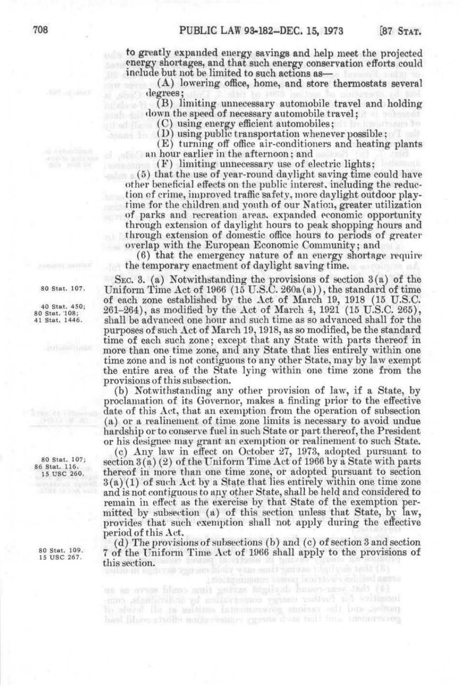**to** greatly expanded energy savings and help meet the projected energy shortages, and that such energy conservation efforts could include but not be limited to such actions as—

> (A) lowering office, home, and store thermostats several ilegrees;

(B) limiting unnecessary automobile travel and holding down the speed of necessary automobile travel;

(C) using energy efficient automobiles;

(D) using public transportation whenever possible;

(E) turning off office air-conditioners and heating plants an hour earlier in the afternoon; and

(F) limiting unnecessary use of electric lights;

(5) that the use of year-round daylight saving time could have other beneficial effects on the public interest, including the reduction of crime, improved traffic safety, more daylight outdoor playtime for the children and youth of our Nation, greater utilization of parks and recreation areas. expanded economic opportunity through extension of daylight hours to peak shopping hours and through extension of domestic office hours to periods of greater overlap with the European Economic Community; and

(6) that the emergency nature of an energy shortage require the temporary enactment of daylight saving time.

SEC. 3. (a) Notwithstanding the provisions of section  $3(a)$  of the 80 Stat. 107. Uniform Time Act of 1966 (15 U.S.C. 260a(a)), the standard of time of each zone established by the Act of March 19, 1918 (15 U.S.C.  $80\text{ stat. }150;$ <br>80 Stat. 1983;<br>80 Stat. 1984), as modified by the Act of March 4, 1921 (15 U.S.C. 265),<br>81 Stat. 1446. Shall be advanced one hour and such time as so advanced shall for the shall be advanced one hour and such time as so advanced shall for the purposes of such Act of March 19,1918, as so modified, be the standard time of each such zone; except that any State with parts thereof in more than one time zone, and any State that lies entirely within one time zone and is not contiguous to any other State, may by law exempt the entire area of the State lying within one time zone from the provisions of this subsection.

> (b) Notwithstanding any other provision of law^, if a State, by proclamation of its Governor, makes a finding prior to the effective date of this Act, that an exemption from the operation of subsection (a) or a realinement of time zone limits is necessary to avoid undue hardship or to conserve fuel in such State or part thereof, the President or his designee may grant an exemption or realinement to such State.

(c) Any law in effect on October 27, 1973, adopted pursuant to  $^{80\text{ Stat. }107;}_{86\text{ Stat. }116}$  section 3(a)(2) of the Uniform Time Act of 1966 by a State with parts IS use 260. thereof in more than one time zone, or adopted pursuant to section  $3(a)(1)$  of such Act by a State that lies entirely within one time zone and is not contiguous to any other State, shall be held and considered to remain in effect as the exercise by that State of the exemption permitted by subsection (a) of this section unless that State, by law, provides that such exemption shall not apply during the effective period of this Act.

> (d) The provisions of subsections (b) and (c) of section 3 and section 7 of the Uniform Time Act of 1966 shall apply to the provisions of this section. Seven and heart year outline that you had (8)

ta as every blues amit getting intuition bouot new indi (4) to since and the various parameters and increased the second of buel hing sholls music visatos grants dont indi bus industry eng

80 Stat. 109.<br>15 USC 267.